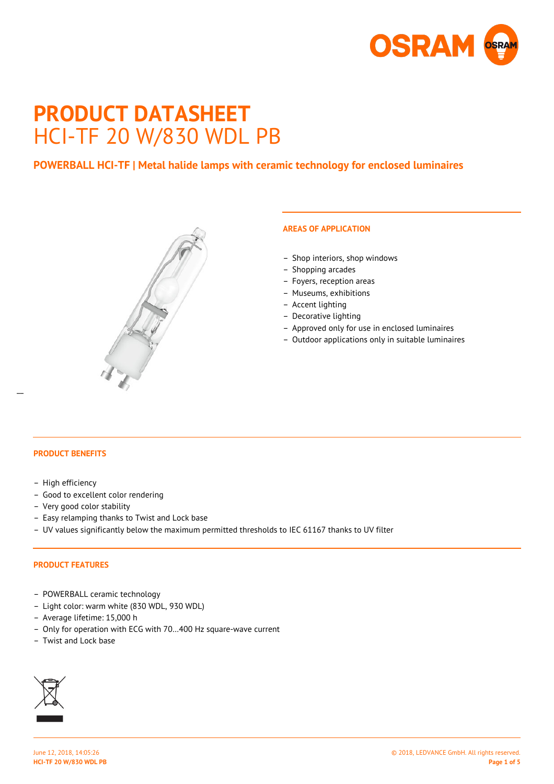

# **PRODUCT DATASHEET** HCI-TF 20 W/830 WDL PB

# **POWERBALL HCI-TF | Metal halide lamps with ceramic technology for enclosed luminaires**



# **AREAS OF APPLICATION**

- Shop interiors, shop windows
- Shopping arcades
- Foyers, reception areas
- Museums, exhibitions
- Accent lighting
- Decorative lighting
- Approved only for use in enclosed luminaires
- Outdoor applications only in suitable luminaires

 $\overline{a}$ 

#### **PRODUCT BENEFITS**

- High efficiency
- Good to excellent color rendering
- Very good color stability
- Easy relamping thanks to Twist and Lock base
- UV values significantly below the maximum permitted thresholds to IEC 61167 thanks to UV filter

## **PRODUCT FEATURES**

- POWERBALL ceramic technology
- Light color: warm white (830 WDL, 930 WDL)
- Average lifetime: 15,000 h
- Only for operation with ECG with 70…400 Hz square-wave current
- Twist and Lock base

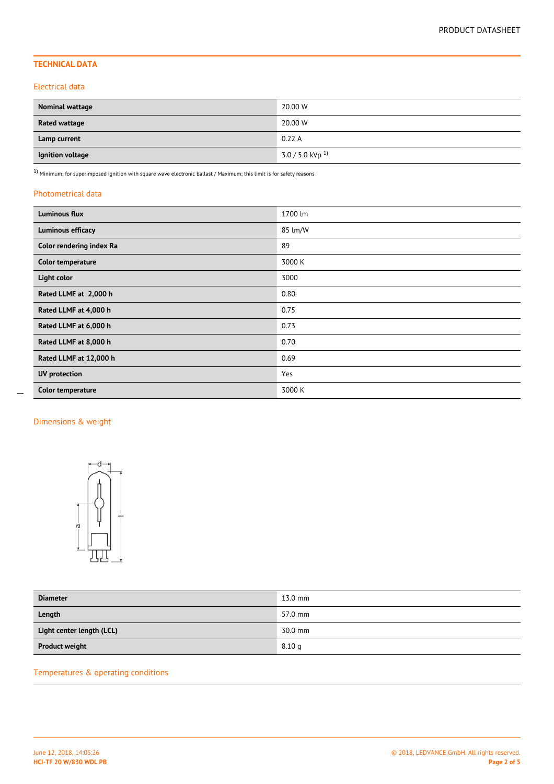# **TECHNICAL DATA**

#### Electrical data

| <b>Nominal wattage</b> | 20.00 W               |
|------------------------|-----------------------|
| <b>Rated wattage</b>   | 20.00 W               |
| Lamp current           | 0.22A                 |
| Ignition voltage       | 3.0 / 5.0 kVp $^{1)}$ |

 $1)$  Minimum; for superimposed ignition with square wave electronic ballast / Maximum; this limit is for safety reasons

#### Photometrical data

| <b>Luminous flux</b>     | 1700 lm |
|--------------------------|---------|
| Luminous efficacy        | 85 lm/W |
| Color rendering index Ra | 89      |
| Color temperature        | 3000 K  |
| Light color              | 3000    |
| Rated LLMF at 2,000 h    | 0.80    |
| Rated LLMF at 4,000 h    | 0.75    |
| Rated LLMF at 6,000 h    | 0.73    |
| Rated LLMF at 8,000 h    | 0.70    |
| Rated LLMF at 12,000 h   | 0.69    |
| <b>UV</b> protection     | Yes     |
| Color temperature        | 3000 K  |

## Dimensions & weight

 $\overline{a}$ 



| <b>Diameter</b>           | $13.0$ mm         |
|---------------------------|-------------------|
| Length                    | 57.0 mm           |
| Light center length (LCL) | 30.0 mm           |
| <b>Product weight</b>     | 8.10 <sub>g</sub> |

# Temperatures & operating conditions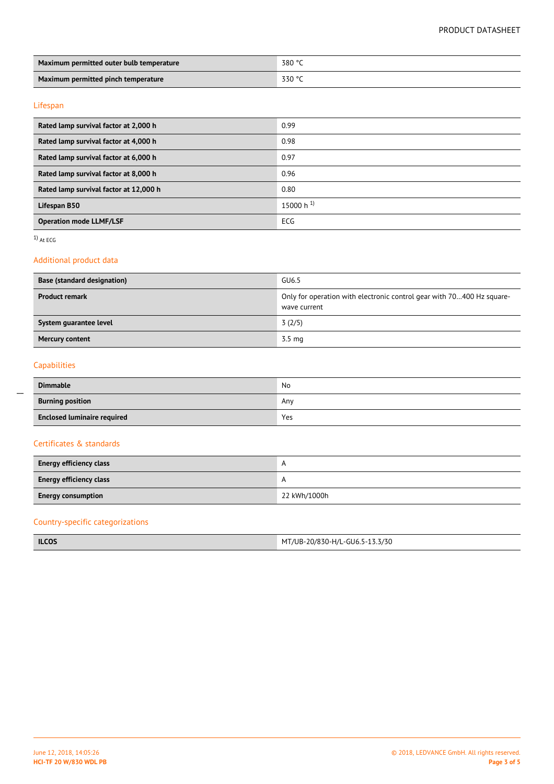## PRODUCT DATASHEET

| Maximum permitted outer bulb temperature | 380 °C |  |
|------------------------------------------|--------|--|
| Maximum permitted pinch temperature      | 330 °C |  |

## Lifespan

| Rated lamp survival factor at 2,000 h  | 0.99                    |
|----------------------------------------|-------------------------|
| Rated lamp survival factor at 4,000 h  | 0.98                    |
| Rated lamp survival factor at 6,000 h  | 0.97                    |
| Rated lamp survival factor at 8,000 h  | 0.96                    |
| Rated lamp survival factor at 12,000 h | 0.80                    |
| Lifespan B50                           | $15000 h$ <sup>1)</sup> |
| <b>Operation mode LLMF/LSF</b>         | ECG                     |

 $1)$  At ECG

## Additional product data

| <b>Base (standard designation)</b> | GU6.5                                                                                 |  |  |
|------------------------------------|---------------------------------------------------------------------------------------|--|--|
| <b>Product remark</b>              | Only for operation with electronic control gear with 70400 Hz square-<br>wave current |  |  |
| System quarantee level             | 3(2/5)                                                                                |  |  |
| <b>Mercury content</b>             | $3.5 \text{ ma}$                                                                      |  |  |

# Capabilities

 $\overline{a}$ 

| <b>Dimmable</b>                    | No  |  |
|------------------------------------|-----|--|
| <b>Burning position</b>            | Any |  |
| <b>Enclosed luminaire required</b> | Yes |  |

## Certificates & standards

| <b>Energy efficiency class</b> |              |
|--------------------------------|--------------|
| <b>Energy efficiency class</b> |              |
| <b>Energy consumption</b>      | 22 kWh/1000h |

# Country-specific categorizations

| ILCO <sup>2</sup> | T/UB-20/830-H/L-GU6.5-11<br>-13.3/30<br>M <sup>T</sup><br>$\mathbf{r}$ and $\mathbf{r}$ and $\mathbf{r}$ and $\mathbf{r}$ and $\mathbf{r}$ and $\mathbf{r}$ and $\mathbf{r}$ and $\mathbf{r}$ and $\mathbf{r}$ and $\mathbf{r}$ and $\mathbf{r}$ and $\mathbf{r}$ and $\mathbf{r}$ and $\mathbf{r}$ and $\mathbf{r}$ and $\mathbf{r}$ and $\mathbf{r}$ and |
|-------------------|------------------------------------------------------------------------------------------------------------------------------------------------------------------------------------------------------------------------------------------------------------------------------------------------------------------------------------------------------------|
|-------------------|------------------------------------------------------------------------------------------------------------------------------------------------------------------------------------------------------------------------------------------------------------------------------------------------------------------------------------------------------------|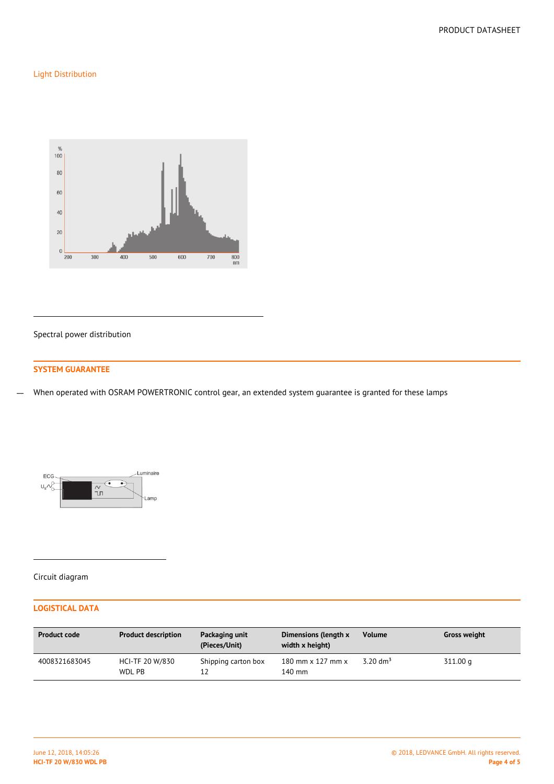## Light Distribution



#### Spectral power distribution

## **SYSTEM GUARANTEE**

When operated with OSRAM POWERTRONIC control gear, an extended system guarantee is granted for these lamps  $\overline{a}$ 



#### Circuit diagram

## **LOGISTICAL DATA**

| <b>Product code</b> | <b>Product description</b> | Packaging unit<br>(Pieces/Unit) | Dimensions (length x<br>width x height)   | <b>Volume</b>       | <b>Gross weight</b> |
|---------------------|----------------------------|---------------------------------|-------------------------------------------|---------------------|---------------------|
| 4008321683045       | HCI-TF 20 W/830<br>WDL PB  | Shipping carton box<br>12       | 180 mm $\times$ 127 mm $\times$<br>140 mm | $3.20 \text{ dm}^3$ | 311.00 g            |